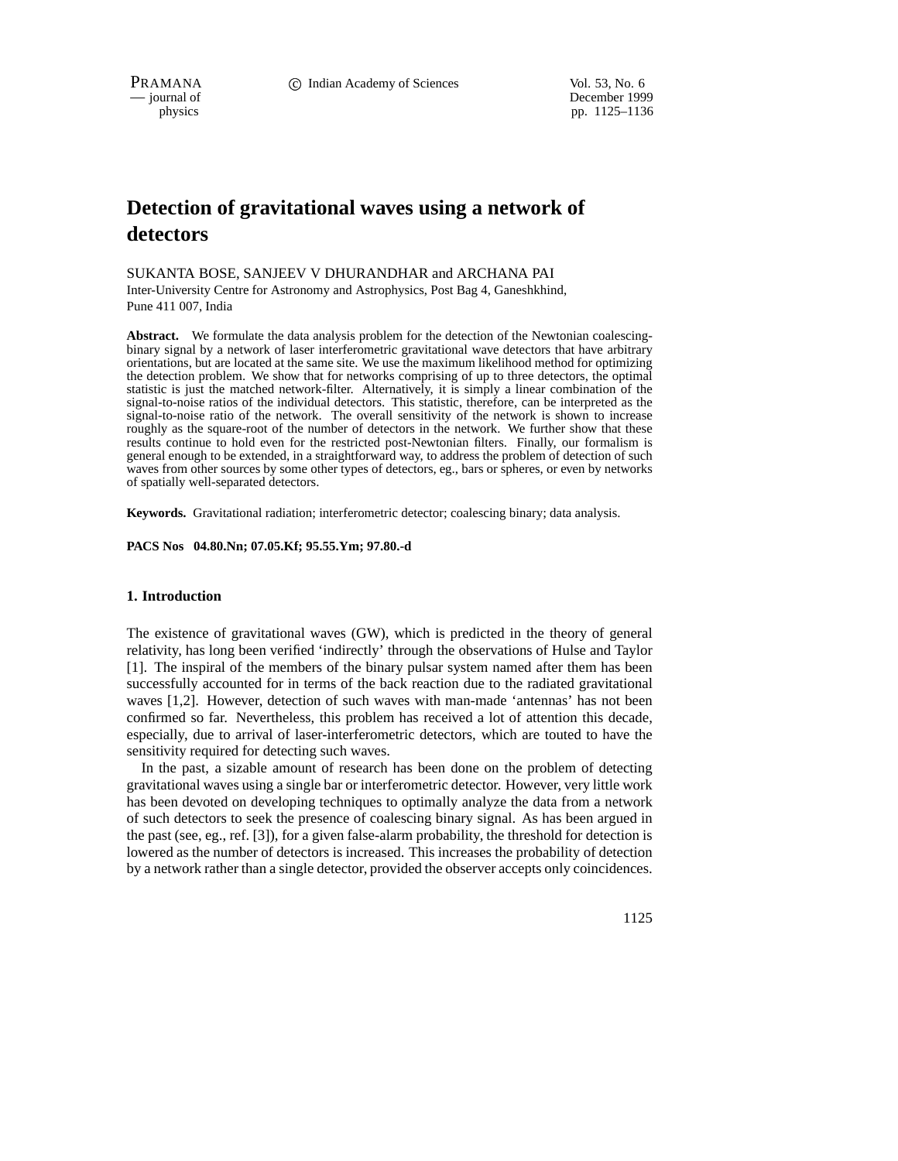PRAMANA **C** Indian Academy of Sciences Vol. 53, No. 6

— journal of December 1999 physics pp. 1125–1136

# **Detection of gravitational waves using a network of detectors**

SUKANTA BOSE, SANJEEV V DHURANDHAR and ARCHANA PAI

Inter-University Centre for Astronomy and Astrophysics, Post Bag 4, Ganeshkhind, Pune 411 007, India

**Abstract.** We formulate the data analysis problem for the detection of the Newtonian coalescingbinary signal by a network of laser interferometric gravitational wave detectors that have arbitrary orientations, but are located at the same site. We use the maximum likelihood method for optimizing the detection problem. We show that for networks comprising of up to three detectors, the optimal statistic is just the matched network-filter. Alternatively, it is simply a linear combination of the signal-to-noise ratios of the individual detectors. This statistic, therefore, can be interpreted as the signal-to-noise ratio of the network. The overall sensitivity of the network is shown to increase roughly as the square-root of the number of detectors in the network. We further show that these results continue to hold even for the restricted post-Newtonian filters. Finally, our formalism is general enough to be extended, in a straightforward way, to address the problem of detection of such waves from other sources by some other types of detectors, eg., bars or spheres, or even by networks of spatially well-separated detectors.

**Keywords.** Gravitational radiation; interferometric detector; coalescing binary; data analysis.

**PACS Nos 04.80.Nn; 07.05.Kf; 95.55.Ym; 97.80.-d**

# **1. Introduction**

The existence of gravitational waves (GW), which is predicted in the theory of general relativity, has long been verified 'indirectly' through the observations of Hulse and Taylor [1]. The inspiral of the members of the binary pulsar system named after them has been successfully accounted for in terms of the back reaction due to the radiated gravitational waves [1,2]. However, detection of such waves with man-made 'antennas' has not been confirmed so far. Nevertheless, this problem has received a lot of attention this decade, especially, due to arrival of laser-interferometric detectors, which are touted to have the sensitivity required for detecting such waves.

In the past, a sizable amount of research has been done on the problem of detecting gravitational waves using a single bar or interferometric detector. However, very little work has been devoted on developing techniques to optimally analyze the data from a network of such detectors to seek the presence of coalescing binary signal. As has been argued in the past (see, eg., ref. [3]), for a given false-alarm probability, the threshold for detection is lowered as the number of detectors is increased. This increases the probability of detection by a network rather than a single detector, provided the observer accepts only coincidences.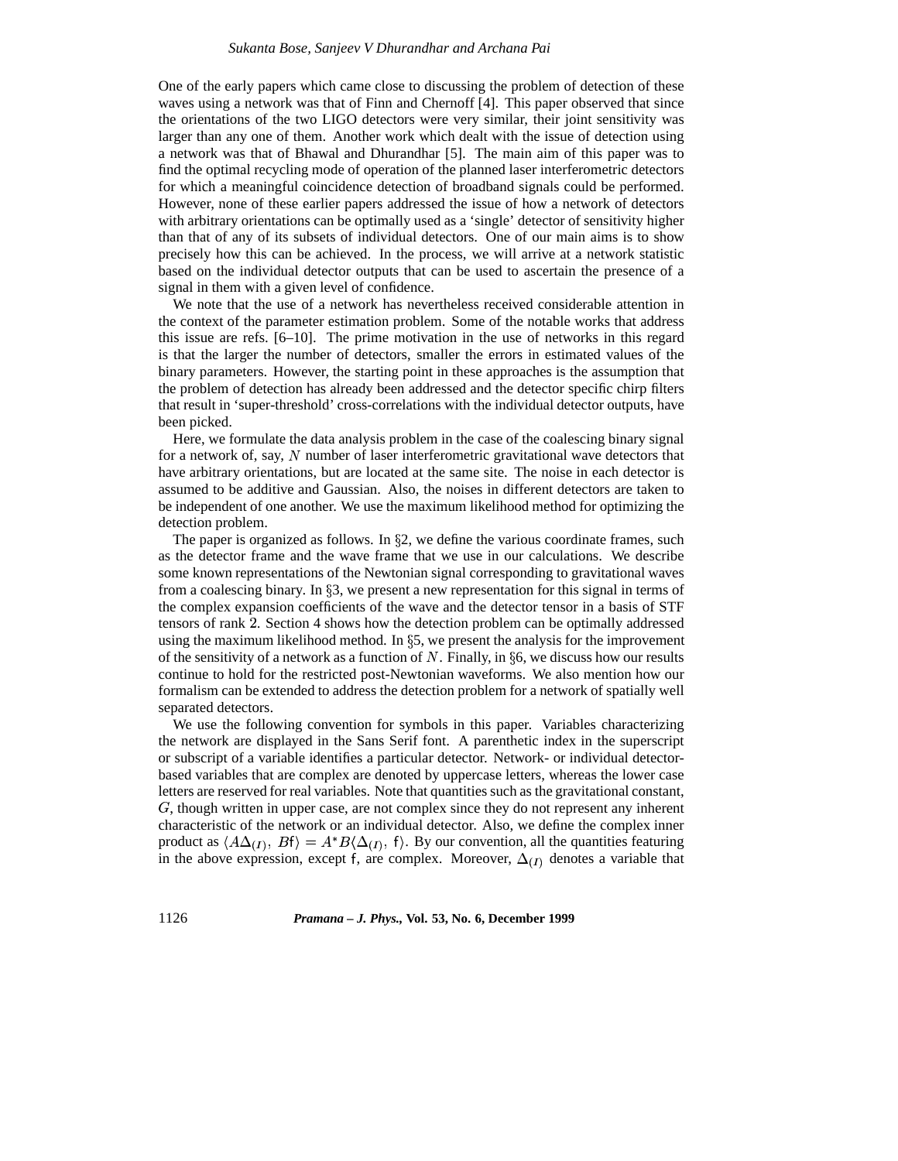One of the early papers which came close to discussing the problem of detection of these waves using a network was that of Finn and Chernoff [4]. This paper observed that since the orientations of the two LIGO detectors were very similar, their joint sensitivity was larger than any one of them. Another work which dealt with the issue of detection using a network was that of Bhawal and Dhurandhar [5]. The main aim of this paper was to find the optimal recycling mode of operation of the planned laser interferometric detectors for which a meaningful coincidence detection of broadband signals could be performed. However, none of these earlier papers addressed the issue of how a network of detectors with arbitrary orientations can be optimally used as a 'single' detector of sensitivity higher than that of any of its subsets of individual detectors. One of our main aims is to show precisely how this can be achieved. In the process, we will arrive at a network statistic based on the individual detector outputs that can be used to ascertain the presence of a signal in them with a given level of confidence.

We note that the use of a network has nevertheless received considerable attention in the context of the parameter estimation problem. Some of the notable works that address this issue are refs. [6–10]. The prime motivation in the use of networks in this regard is that the larger the number of detectors, smaller the errors in estimated values of the binary parameters. However, the starting point in these approaches is the assumption that the problem of detection has already been addressed and the detector specific chirp filters that result in 'super-threshold' cross-correlations with the individual detector outputs, have been picked.

Here, we formulate the data analysis problem in the case of the coalescing binary signal for a network of, say,  $N$  number of laser interferometric gravitational wave detectors that have arbitrary orientations, but are located at the same site. The noise in each detector is assumed to be additive and Gaussian. Also, the noises in different detectors are taken to be independent of one another. We use the maximum likelihood method for optimizing the detection problem.

The paper is organized as follows. In  $\S2$ , we define the various coordinate frames, such as the detector frame and the wave frame that we use in our calculations. We describe some known representations of the Newtonian signal corresponding to gravitational waves from a coalescing binary. In  $\S3$ , we present a new representation for this signal in terms of the complex expansion coefficients of the wave and the detector tensor in a basis of STF tensors of rank 2. Section 4 shows how the detection problem can be optimally addressed using the maximum likelihood method. In  $\S5$ , we present the analysis for the improvement of the sensitivity of a network as a function of N. Finally, in  $\S6$ , we discuss how our results continue to hold for the restricted post-Newtonian waveforms. We also mention how our formalism can be extended to address the detection problem for a network of spatially well separated detectors.

We use the following convention for symbols in this paper. Variables characterizing the network are displayed in the Sans Serif font. A parenthetic index in the superscript or subscript of a variable identifies a particular detector. Network- or individual detectorbased variables that are complex are denoted by uppercase letters, whereas the lower case letters are reserved for real variables. Note that quantities such as the gravitational constant,  $G$ , though written in upper case, are not complex since they do not represent any inherent characteristic of the network or an individual detector. Also, we define the complex inner product as  $\langle A\Delta_{(I)}, Bf\rangle = A^*B\langle \Delta_{(I)}, f\rangle$ . By our convention, all the quantities featuring in the above expression, except f, are complex. Moreover,  $\Delta_{(I)}$  denotes a variable that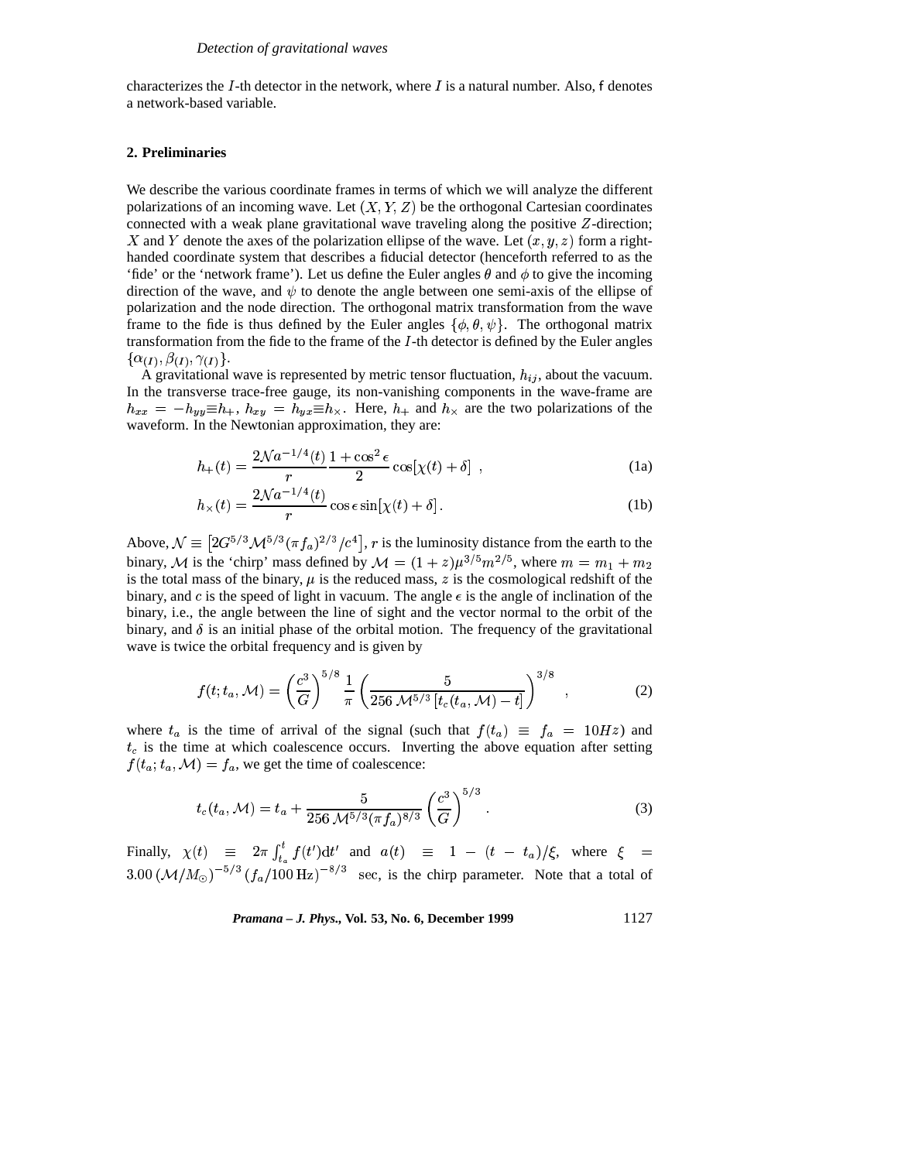characterizes the  $I$ -th detector in the network, where  $I$  is a natural number. Also,  $f$  denotes a network-based variable.

# **2. Preliminaries**

We describe the various coordinate frames in terms of which we will analyze the different polarizations of an incoming wave. Let  $(X, Y, Z)$  be the orthogonal Cartesian coordinates connected with a weak plane gravitational wave traveling along the positive  $Z$ -direction; X and Y denote the axes of the polarization ellipse of the wave. Let  $(x, y, z)$  form a righthanded coordinate system that describes a fiducial detector (henceforth referred to as the 'fide' or the 'network frame'). Let us define the Euler angles  $\theta$  and  $\phi$  to give the incoming direction of the wave, and  $\psi$  to denote the angle between one semi-axis of the ellipse of polarization and the node direction. The orthogonal matrix transformation from the wave frame to the fide is thus defined by the Euler angles  $\{\phi, \theta, \psi\}$ . The orthogonal matrix transformation from the fide to the frame of the  $I$ -th detector is defined by the Euler angles  $\{\alpha_{(I)}, \beta_{(I)}, \gamma_{(I)}\}.$ 

A gravitational wave is represented by metric tensor fluctuation,  $h_{ij}$ , about the vacuum. In the transverse trace-free gauge, its non-vanishing components in the wave-frame are  $h_{xx} = -h_{yy} \equiv h_+, h_{xy} = h_{yx} \equiv h_\times$ . Here,  $h_+$  and  $h_\times$  are the two polarizations of the waveform. In the Newtonian approximation, they are:

$$
h_{+}(t) = \frac{2\mathcal{N}a^{-1/4}(t)}{r} \frac{1+\cos^{2}\epsilon}{2} \cos[\chi(t)+\delta] , \qquad (1a)
$$

$$
h_{\times}(t) = \frac{2\mathcal{N}a^{-1/4}(t)}{r}\cos\epsilon\sin[\chi(t) + \delta].
$$
 (1b)

Above,  $\mathcal{N} \equiv |2G^{5/3}\mathcal{M}^{5/3}(\pi f_a)^{2/3}/c^4|$ , r is the luminosity distance from the earth to the binary, M is the 'chirp' mass defined by  $M = (1 + z)\mu^{3/5}m^{2/5}$ , where  $m = m_1 + m_2$ is the total mass of the binary,  $\mu$  is the reduced mass,  $\zeta$  is the cosmological redshift of the binary, and c is the speed of light in vacuum. The angle  $\epsilon$  is the angle of inclination of the binary, i.e., the angle between the line of sight and the vector normal to the orbit of the binary, and  $\delta$  is an initial phase of the orbital motion. The frequency of the gravitational wave is twice the orbital frequency and is given by

$$
f(t; t_a, \mathcal{M}) = \left(\frac{c^3}{G}\right)^{5/8} \frac{1}{\pi} \left(\frac{5}{256 \, \mathcal{M}^{5/3} \left[t_c(t_a, \mathcal{M}) - t\right]}\right)^{3/8},\tag{2}
$$

where  $t_a$  is the time of arrival of the signal (such that  $f(t_a) \equiv f_a = 10Hz$ ) and  $t_c$  is the time at which coalescence occurs. Inverting the above equation after setting  $f(t_a;t_a,\mathcal{M})=f_a$ , we get the time of coalescence:

$$
t_c(t_a, \mathcal{M}) = t_a + \frac{5}{256 \, \mathcal{M}^{5/3} (\pi f_a)^{8/3}} \left(\frac{c^3}{G}\right)^{5/3}.
$$
 (3)

Finally,  $\chi(t) \equiv 2\pi \int_{t_a}^{t} f(t') dt'$  and  $a(t) \equiv 1 - (t - t_a)/\xi$ , where  $\xi =$  $\frac{3.00 \left(\mathcal{M}/M_{\odot}\right)^{-5/3} (f_a/100 \text{ Hz})^{-8/3}}{5.00 \left(\mathcal{M}/M_{\odot}\right)^{-5/3}}$  sec, is the chirp parameter. Note that a total of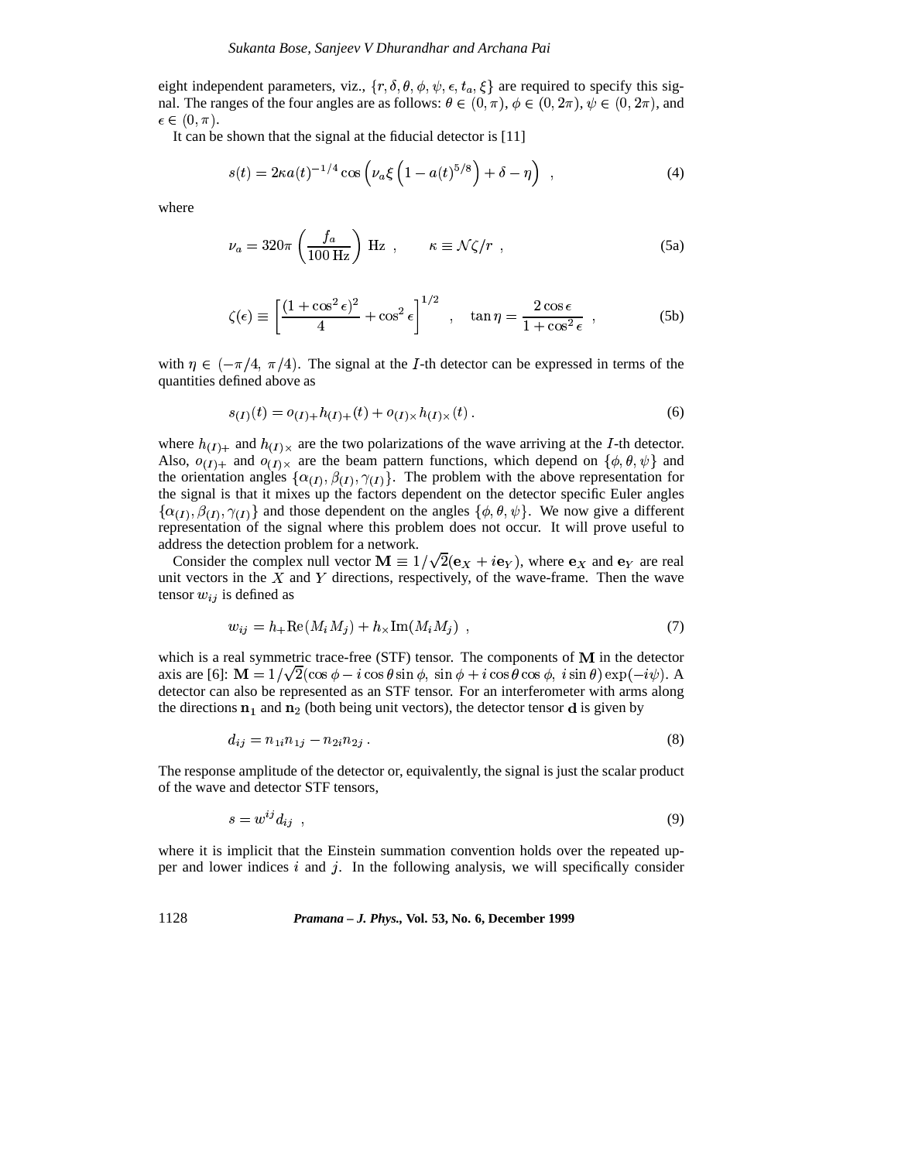eight independent parameters, viz.,  $\{r, \delta, \theta, \phi, \psi, \epsilon, t_a, \xi\}$  are required to specify this signal. The ranges of the four angles are as follows:  $\theta \in (0, \pi)$ ,  $\phi \in (0, 2\pi)$ ,  $\psi \in (0, 2\pi)$ , and  $\epsilon \in (0, \pi)$ .

It can be shown that the signal at the fiducial detector is  $[11]$ 

$$
s(t) = 2\kappa a(t)^{-1/4} \cos\left(\nu_a \xi \left(1 - a(t)^{5/8}\right) + \delta - \eta\right) , \qquad (4)
$$

where

$$
\nu_a = 320\pi \left(\frac{f_a}{100 \text{ Hz}}\right) \text{ Hz }, \qquad \kappa \equiv \mathcal{N}\zeta/r , \qquad (5a)
$$

$$
\zeta(\epsilon) \equiv \left[ \frac{(1+\cos^2 \epsilon)^2}{4} + \cos^2 \epsilon \right]^{1/2}, \quad \tan \eta = \frac{2\cos \epsilon}{1 + \cos^2 \epsilon}, \tag{5b}
$$

with  $\eta \in (-\pi/4, \pi/4)$ . The signal at the *I*-th detector can be expressed in terms of the quantities defined above as

$$
s_{(I)}(t) = o_{(I) +} h_{(I) +}(t) + o_{(I) \times} h_{(I) \times}(t).
$$
\n(6)

where  $h_{(I)+}$  and  $h_{(I)\times}$  are the two polarizations of the wave arriving at the *I*-th detector. Also,  $o_{(I)+}$  and  $o_{(I)\times}$  are the beam pattern functions, which depend on  $\{\phi, \theta, \psi\}$  and the orientation angles  $\{\alpha_{(I)}, \beta_{(I)}, \gamma_{(I)}\}$ . The problem with the above representation for the signal is that it mixes up the factors dependent on the detector specific Euler angles  $\{\alpha_{(I)}, \beta_{(I)}, \gamma_{(I)}\}$  and those dependent on the angles  $\{\phi, \theta, \psi\}$ . We now give a different representation of the signal where this problem does not occur. It will prove useful to address the detection problem for a network.

Consider the complex null vector  $\mathbf{M} \equiv 1/\sqrt{2}(\mathbf{e}_X + i\mathbf{e}_Y)$ , where  $\mathbf{e}_X$  and  $\mathbf{e}_Y$  are real unit vectors in the  $X$  and  $Y$  directions, respectively, of the wave-frame. Then the wave tensor  $w_{ij}$  is defined as

$$
w_{ij} = h_{+} \text{Re}(M_i M_j) + h_{\times} \text{Im}(M_i M_j) \tag{7}
$$

which is a real symmetric trace-free (STF) tensor. The components of  $M$  in the detector axis are [6]:  $\mathbf{M} = 1/\sqrt{2}(\cos \phi - i \cos \theta \sin \phi, \sin \phi + i \cos \theta \cos \phi, i \sin \theta) \exp(-i\psi)$ . A detector can also be represented as an STF tensor. For an interferometer with arms along the directions  $n_1$  and  $n_2$  (both being unit vectors), the detector tensor **d** is given by

$$
d_{ij} = n_{1i}n_{1j} - n_{2i}n_{2j} \tag{8}
$$

The response amplitude of the detector or, equivalently, the signal is just the scalar product of the wave and detector STF tensors,

$$
s = w^{ij} d_{ij} \quad , \tag{9}
$$

where it is implicit that the Einstein summation convention holds over the repeated upper and lower indices  $i$  and  $j$ . In the following analysis, we will specifically consider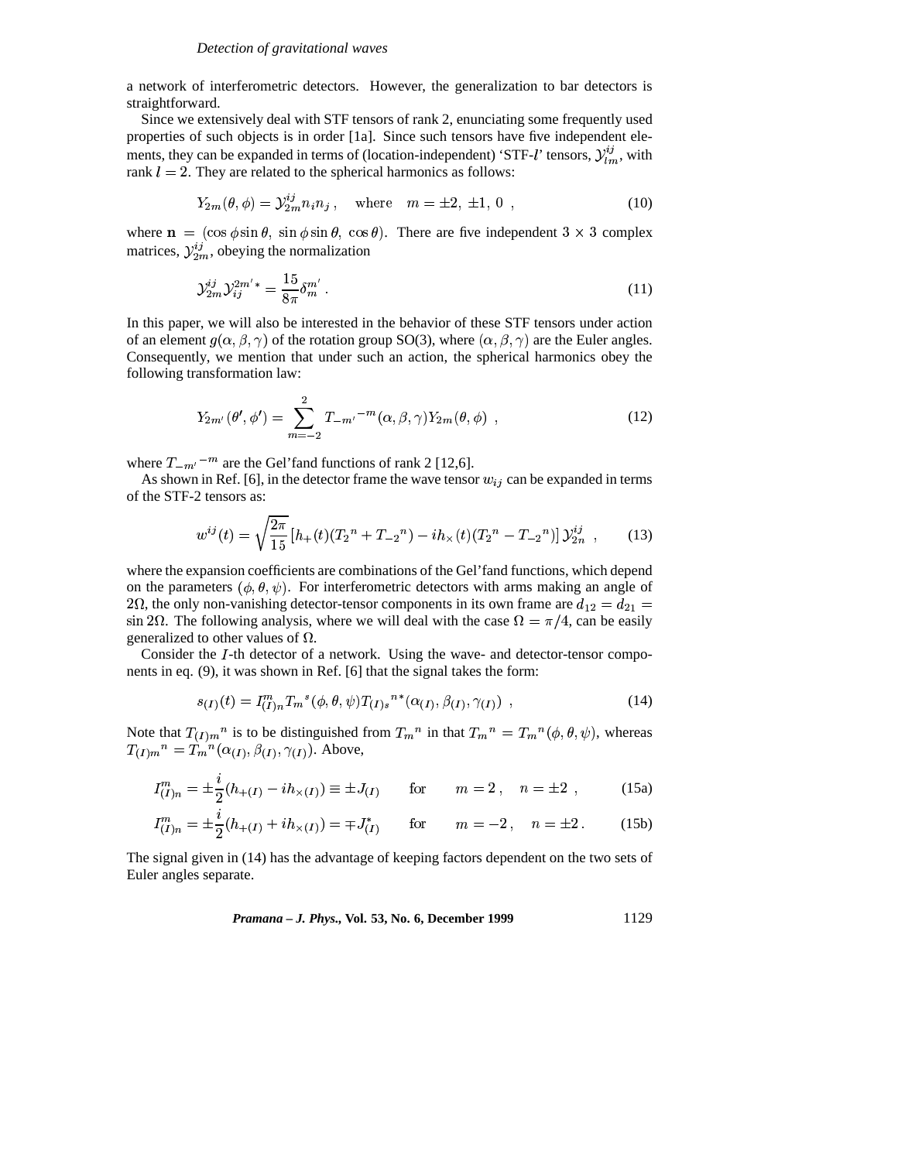a network of interferometric detectors. However, the generalization to bar detectors is straightforward.

Since we extensively deal with STF tensors of rank 2, enunciating some frequently used properties of such objects is in order [1a]. Since such tensors have five independent elements, they can be expanded in terms of (location-independent) 'STF-l' tensors,  $\mathcal{Y}_{lm}^{ij}$ , with rank  $l = 2$ . They are related to the spherical harmonics as follows:

$$
Y_{2m}(\theta,\phi) = \mathcal{Y}_{2m}^{ij} n_i n_j , \text{ where } m = \pm 2, \pm 1, 0 ,
$$
 (10)

where  $\mathbf{n} = (\cos \phi \sin \theta, \sin \phi \sin \theta, \cos \theta)$ . There are five independent  $3 \times 3$  complex matrices,  $y_{2m}^{ij}$ , obeying the normalization

$$
\mathcal{Y}_{2m}^{ij} \mathcal{Y}_{ij}^{2m'*} = \frac{15}{8\pi} \delta_m^{m'}.
$$
\n(11)

In this paper, we will also be interested in the behavior of these STF tensors under action of an element  $g(\alpha, \beta, \gamma)$  of the rotation group SO(3), where  $(\alpha, \beta, \gamma)$  are the Euler angles. Consequently, we mention that under such an action, the spherical harmonics obey the following transformation law:

$$
Y_{2m'}(\theta', \phi') = \sum_{m=-2}^{2} T_{-m'}{}^{-m}(\alpha, \beta, \gamma) Y_{2m}(\theta, \phi) ,
$$
 (12)

where  $T_{-m'}^{-m}$  are the Gel'fand functions of rank 2 [12,6].

As shown in Ref. [6], in the detector frame the wave tensor  $w_{ij}$  can be expanded in terms of the STF-2 tensors as:

$$
w^{ij}(t) = \sqrt{\frac{2\pi}{15}} \left[ h_+(t) (T_2^{\ n} + T_{-2}^{\ n}) - ih_\times(t) (T_2^{\ n} - T_{-2}^{\ n}) \right] \mathcal{Y}_{2n}^{ij} \quad , \tag{13}
$$

where the expansion coefficients are combinations of the Gel'fand functions, which depend on the parameters  $(\phi, \theta, \psi)$ . For interferometric detectors with arms making an angle of 2 $\Omega$ , the only non-vanishing detector-tensor components in its own frame are  $d_{12} = d_{21}$ sin 2 $\Omega$ . The following analysis, where we will deal with the case  $\Omega = \pi/4$ , can be easily generalized to other values of  $\Omega$ .

Consider the I-th detector of a network. Using the wave- and detector-tensor components in eq. (9), it was shown in Ref. [6] that the signal takes the form:

$$
s_{(I)}(t) = I_{(I)n}^m T_m{}^s(\phi, \theta, \psi) T_{(I)s}{}^{n*}(\alpha_{(I)}, \beta_{(I)}, \gamma_{(I)}) \quad , \tag{14}
$$

Note that  $T_{(I)m}^n$  is to be distinguished from  $T_m^n$  in that  $T_m^n = T_m^n(\phi, \theta, \psi)$ , whereas  $T_{(I)m}^{n} = T_{m}^{n}(\alpha_{(I)}, \beta_{(I)}, \gamma_{(I)})$ . Above,

$$
I_{(I)n}^m = \pm \frac{i}{2}(h_{+(I)} - ih_{\times(I)}) \equiv \pm J_{(I)} \quad \text{for} \quad m = 2 \,, \quad n = \pm 2 \,, \tag{15a}
$$

$$
I_{(I)n}^m = \pm \frac{i}{2}(h_{+(I)} + ih_{\times(I)}) = \mp J_{(I)}^* \quad \text{for} \quad m = -2 \,, \quad n = \pm 2 \,. \tag{15b}
$$

The signal given in (14) has the advantage of keeping factors dependent on the two sets of Euler angles separate.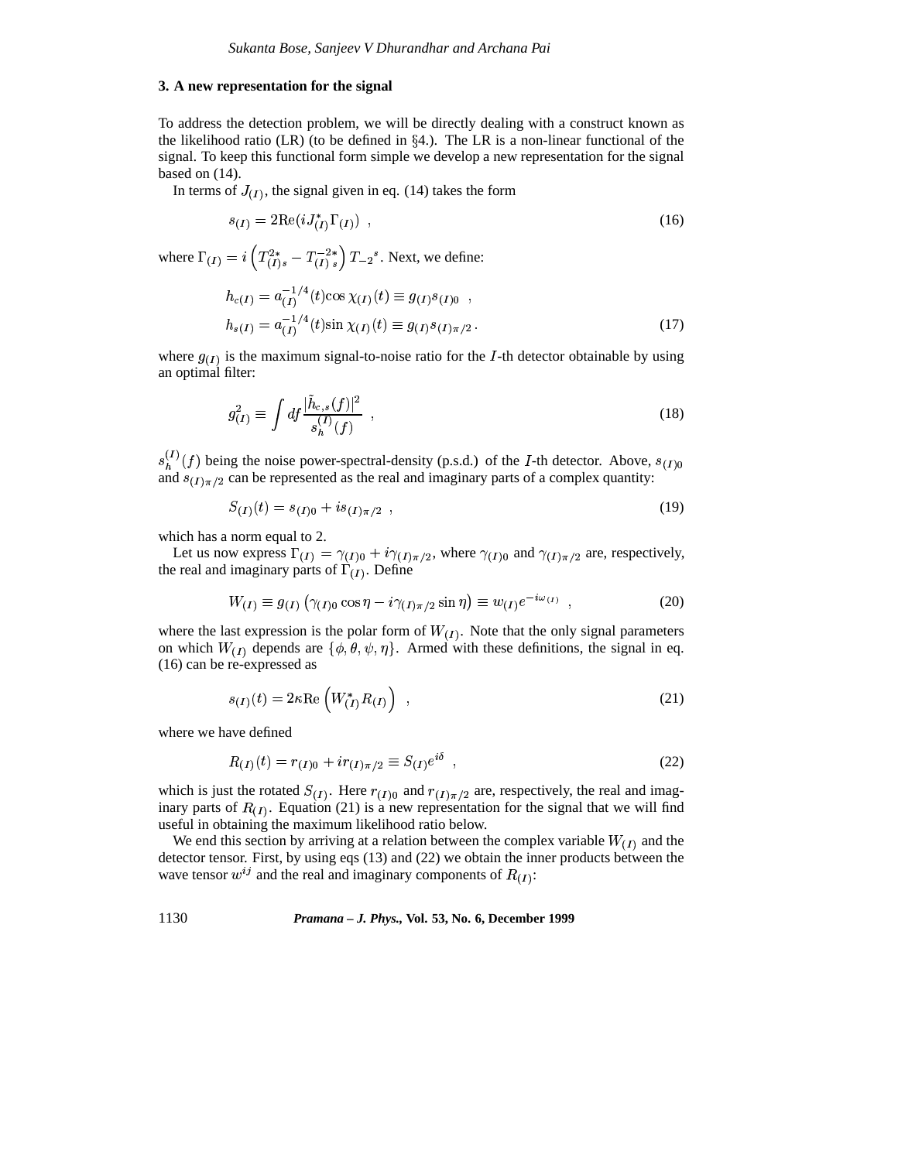#### 3. A new representation for the signal

To address the detection problem, we will be directly dealing with a construct known as the likelihood ratio (LR) (to be defined in  $\S$ 4.). The LR is a non-linear functional of the signal. To keep this functional form simple we develop a new representation for the signal based on  $(14)$ .

In terms of  $J_{(I)}$ , the signal given in eq. (14) takes the form

$$
s_{(I)} = 2\text{Re}(iJ_{(I)}^*\Gamma_{(I)}) \tag{16}
$$

where  $\Gamma_{(I)} = i \left( T_{(I)s}^{2*} - T_{(I)s}^{-2*} \right) T_{-2}^{s}$ . Next, we define:

$$
h_{c(I)} = a_{(I)}^{-1/4}(t)\cos\chi_{(I)}(t) \equiv g_{(I)}s_{(I)0} ,
$$
  
\n
$$
h_{s(I)} = a_{(I)}^{-1/4}(t)\sin\chi_{(I)}(t) \equiv g_{(I)}s_{(I)\pi/2} .
$$
\n(17)

where  $g_{(I)}$  is the maximum signal-to-noise ratio for the I-th detector obtainable by using an optimal filter:

$$
g_{(I)}^2 \equiv \int df \frac{|\dot{h}_{c,s}(f)|^2}{s_h^{(I)}(f)} \quad , \tag{18}
$$

 $s_h^{(I)}(f)$  being the noise power-spectral-density (p.s.d.) of the *I*-th detector. Above,  $s_{(I)0}$ and  $s_{(I)\pi/2}$  can be represented as the real and imaginary parts of a complex quantity:

$$
S_{(I)}(t) = s_{(I)0} + i s_{(I)\pi/2} \t{,} \t(19)
$$

which has a norm equal to 2.

Let us now express  $\Gamma_{(I)} = \gamma_{(I)0} + i\gamma_{(I)\pi/2}$ , where  $\gamma_{(I)0}$  and  $\gamma_{(I)\pi/2}$  are, respectively, the real and imaginary parts of  $\Gamma_{(I)}$ . Define

$$
W_{(I)} \equiv g_{(I)} \left( \gamma_{(I)0} \cos \eta - i \gamma_{(I)\pi/2} \sin \eta \right) \equiv w_{(I)} e^{-i\omega_{(I)}} \quad , \tag{20}
$$

where the last expression is the polar form of  $W_{(I)}$ . Note that the only signal parameters on which  $W_{(I)}$  depends are  $\{\phi, \theta, \psi, \eta\}$ . Armed with these definitions, the signal in eq.  $(16)$  can be re-expressed as

$$
s_{(I)}(t) = 2\kappa \operatorname{Re}\left(W_{(I)}^* R_{(I)}\right) \tag{21}
$$

where we have defined

$$
R_{(I)}(t) = r_{(I)0} + ir_{(I)\pi/2} \equiv S_{(I)}e^{i\delta} \quad , \tag{22}
$$

which is just the rotated  $S_{(I)}$ . Here  $r_{(I)0}$  and  $r_{(I)\pi/2}$  are, respectively, the real and imaginary parts of  $R_{(I)}$ . Equation (21) is a new representation for the signal that we will find useful in obtaining the maximum likelihood ratio below.

We end this section by arriving at a relation between the complex variable  $W_{(I)}$  and the detector tensor. First, by using eqs (13) and (22) we obtain the inner products between the wave tensor  $w^{ij}$  and the real and imaginary components of  $R_{(I)}$ :

Pramana - J. Phys., Vol. 53, No. 6, December 1999

1130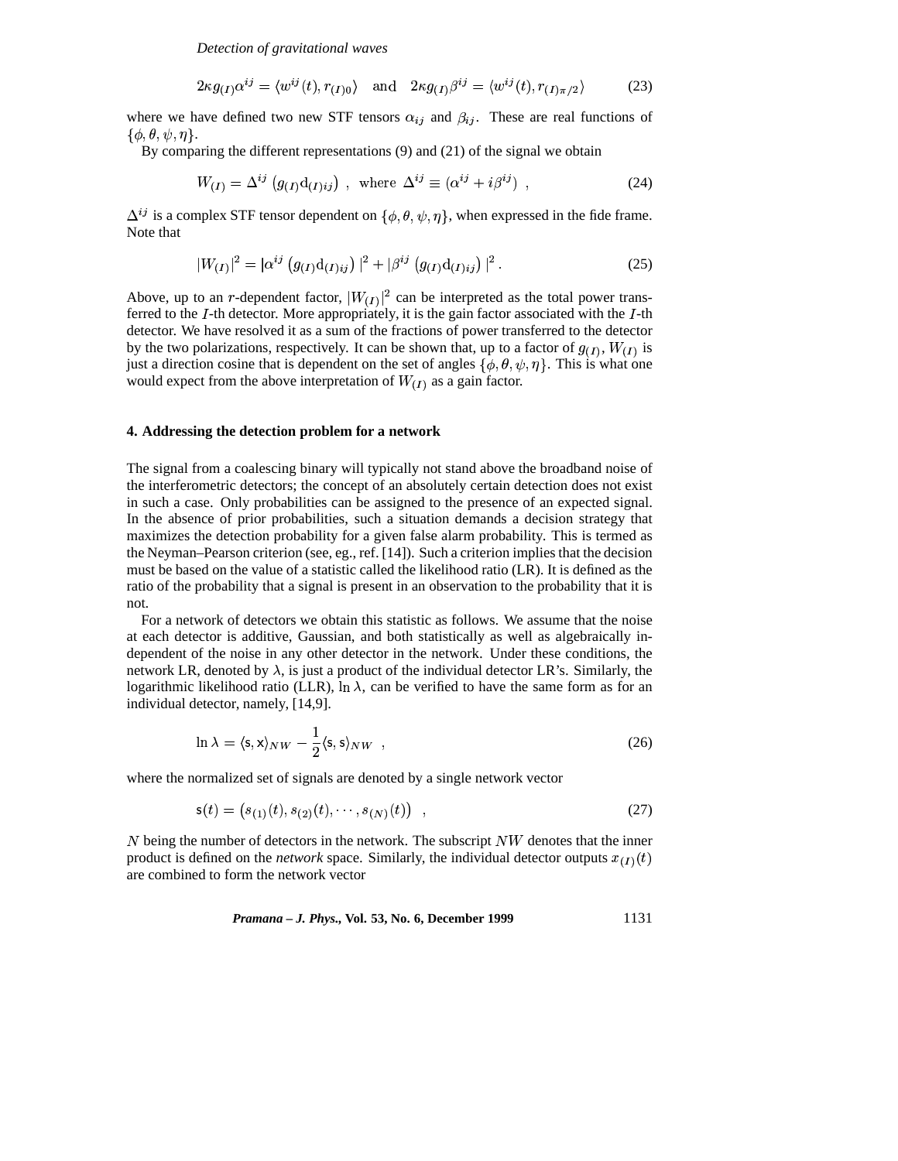Detection of gravitational waves

$$
2\kappa g_{(I)}\alpha^{ij} = \langle w^{ij}(t), r_{(I)0}\rangle \quad \text{and} \quad 2\kappa g_{(I)}\beta^{ij} = \langle w^{ij}(t), r_{(I)\pi/2}\rangle \tag{23}
$$

where we have defined two new STF tensors  $\alpha_{ij}$  and  $\beta_{ij}$ . These are real functions of  $\{\phi, \theta, \psi, \eta\}.$ 

By comparing the different representations  $(9)$  and  $(21)$  of the signal we obtain

$$
W_{(I)} = \Delta^{ij} \left( g_{(I)} \mathbf{d}_{(I)ij} \right) , \text{ where } \Delta^{ij} \equiv (\alpha^{ij} + i\beta^{ij}) , \qquad (24)
$$

 $\Delta^{ij}$  is a complex STF tensor dependent on  $\{\phi, \theta, \psi, \eta\}$ , when expressed in the fide frame. Note that

$$
|W_{(I)}|^2 = |\alpha^{ij} (g_{(I)} d_{(I)ij})|^2 + |\beta^{ij} (g_{(I)} d_{(I)ij})|^2.
$$
 (25)

Above, up to an *r*-dependent factor,  $|W_{(I)}|^2$  can be interpreted as the total power transferred to the  $I$ -th detector. More appropriately, it is the gain factor associated with the  $I$ -th detector. We have resolved it as a sum of the fractions of power transferred to the detector by the two polarizations, respectively. It can be shown that, up to a factor of  $g_{(I)}, W_{(I)}$  is just a direction cosine that is dependent on the set of angles  $\{\phi, \theta, \psi, \eta\}$ . This is what one would expect from the above interpretation of  $W_{(I)}$  as a gain factor.

## 4. Addressing the detection problem for a network

The signal from a coalescing binary will typically not stand above the broadband noise of the interferometric detectors; the concept of an absolutely certain detection does not exist in such a case. Only probabilities can be assigned to the presence of an expected signal. In the absence of prior probabilities, such a situation demands a decision strategy that maximizes the detection probability for a given false alarm probability. This is termed as the Neyman–Pearson criterion (see, eg., ref. [14]). Such a criterion implies that the decision must be based on the value of a statistic called the likelihood ratio (LR). It is defined as the ratio of the probability that a signal is present in an observation to the probability that it is not.

For a network of detectors we obtain this statistic as follows. We assume that the noise at each detector is additive, Gaussian, and both statistically as well as algebraically independent of the noise in any other detector in the network. Under these conditions, the network LR, denoted by  $\lambda$ , is just a product of the individual detector LR's. Similarly, the logarithmic likelihood ratio (LLR),  $\ln \lambda$ , can be verified to have the same form as for an individual detector, namely, [14,9].

$$
\ln \lambda = \langle \mathbf{s}, \mathbf{x} \rangle_{NW} - \frac{1}{2} \langle \mathbf{s}, \mathbf{s} \rangle_{NW} , \qquad (26)
$$

where the normalized set of signals are denoted by a single network vector

$$
s(t) = (s_{(1)}(t), s_{(2)}(t), \cdots, s_{(N)}(t)) \quad , \tag{27}
$$

 $N$  being the number of detectors in the network. The subscript  $NW$  denotes that the inner product is defined on the *network* space. Similarly, the individual detector outputs  $x_{(I)}(t)$ are combined to form the network vector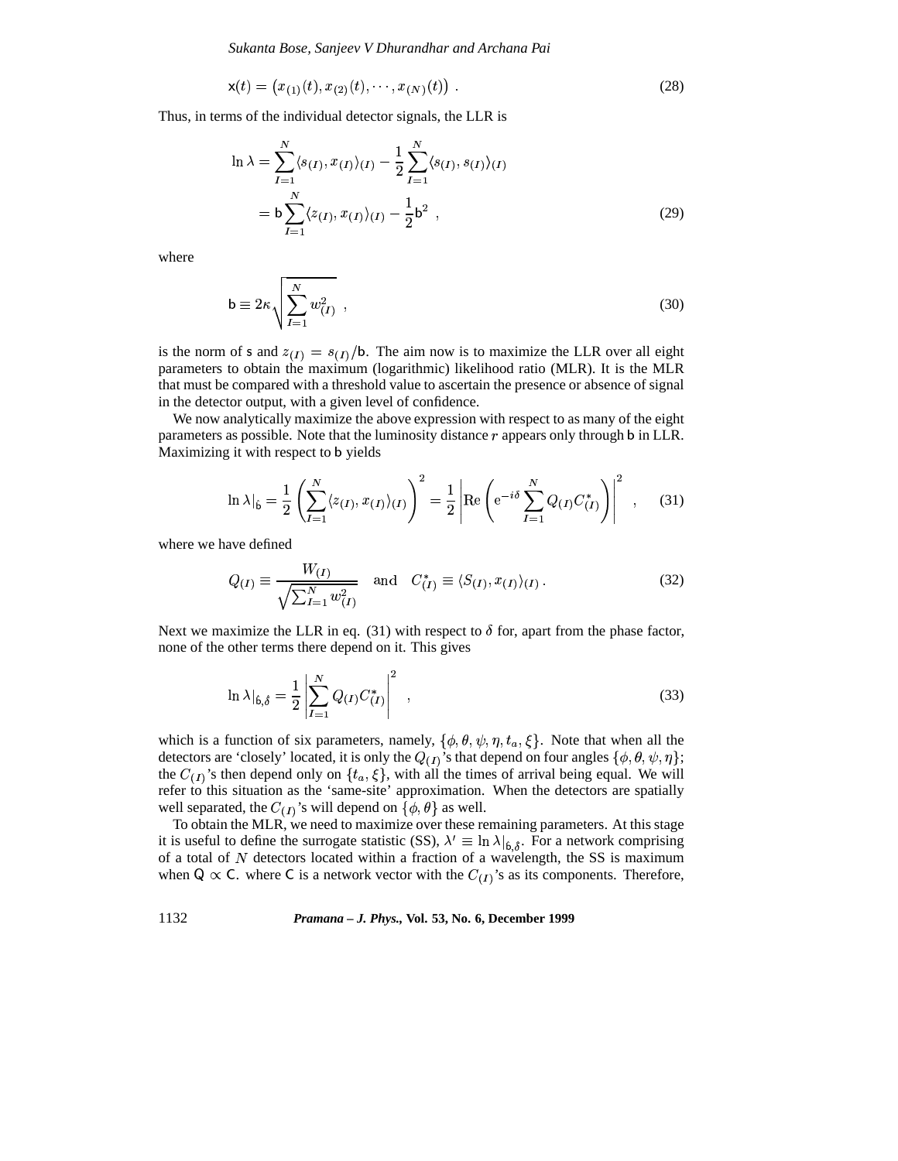Sukanta Bose, Sanjeev V Dhurandhar and Archana Pai

$$
\mathbf{x}(t) = (x_{(1)}(t), x_{(2)}(t), \cdots, x_{(N)}(t))
$$
 (28)

Thus, in terms of the individual detector signals, the LLR is

$$
\ln \lambda = \sum_{I=1}^{N} \langle s_{(I)}, x_{(I)} \rangle_{(I)} - \frac{1}{2} \sum_{I=1}^{N} \langle s_{(I)}, s_{(I)} \rangle_{(I)}
$$
  
=  $b \sum_{I=1}^{N} \langle z_{(I)}, x_{(I)} \rangle_{(I)} - \frac{1}{2} b^2$ , (29)

where

$$
b \equiv 2\kappa \sqrt{\sum_{I=1}^{N} w_{(I)}^2} \tag{30}
$$

is the norm of s and  $z_{(I)} = s_{(I)}/b$ . The aim now is to maximize the LLR over all eight parameters to obtain the maximum (logarithmic) likelihood ratio (MLR). It is the MLR that must be compared with a threshold value to ascertain the presence or absence of signal in the detector output, with a given level of confidence.

We now analytically maximize the above expression with respect to as many of the eight parameters as possible. Note that the luminosity distance  $r$  appears only through b in LLR. Maximizing it with respect to b yields

$$
\ln \lambda|_{\hat{b}} = \frac{1}{2} \left( \sum_{I=1}^{N} \langle z_{(I)}, x_{(I)} \rangle_{(I)} \right)^2 = \frac{1}{2} \left| \text{Re} \left( e^{-i\delta} \sum_{I=1}^{N} Q_{(I)} C_{(I)}^* \right) \right|^2 , \quad (31)
$$

where we have defined

$$
Q_{(I)} \equiv \frac{W_{(I)}}{\sqrt{\sum_{I=1}^{N} w_{(I)}^2}} \text{ and } C_{(I)}^* \equiv \langle S_{(I)}, x_{(I)} \rangle_{(I)}.
$$
 (32)

Next we maximize the LLR in eq. (31) with respect to  $\delta$  for, apart from the phase factor, none of the other terms there depend on it. This gives

$$
\ln \lambda|_{\hat{\mathbf{b}},\hat{\delta}} = \frac{1}{2} \left| \sum_{I=1}^{N} Q_{(I)} C_{(I)}^* \right|^2 , \qquad (33)
$$

which is a function of six parameters, namely,  $\{\phi, \theta, \psi, \eta, t_a, \xi\}$ . Note that when all the detectors are 'closely' located, it is only the  $Q_{(I)}$ 's that depend on four angles  $\{\phi, \theta, \psi, \eta\}$ ; the  $C_{(I)}$ 's then depend only on  $\{t_{a}, \xi\}$ , with all the times of arrival being equal. We will refer to this situation as the 'same-site' approximation. When the detectors are spatially well separated, the  $C_{(I)}$ 's will depend on  $\{\phi, \theta\}$  as well.

To obtain the MLR, we need to maximize over these remaining parameters. At this stage it is useful to define the surrogate statistic (SS),  $\lambda' \equiv \ln \lambda |_{\hat{b}, \hat{\delta}}$ . For a network comprising of a total of  $N$  detectors located within a fraction of a wavelength, the SS is maximum when Q  $\propto$  C. where C is a network vector with the  $C_{(I)}$ 's as its components. Therefore,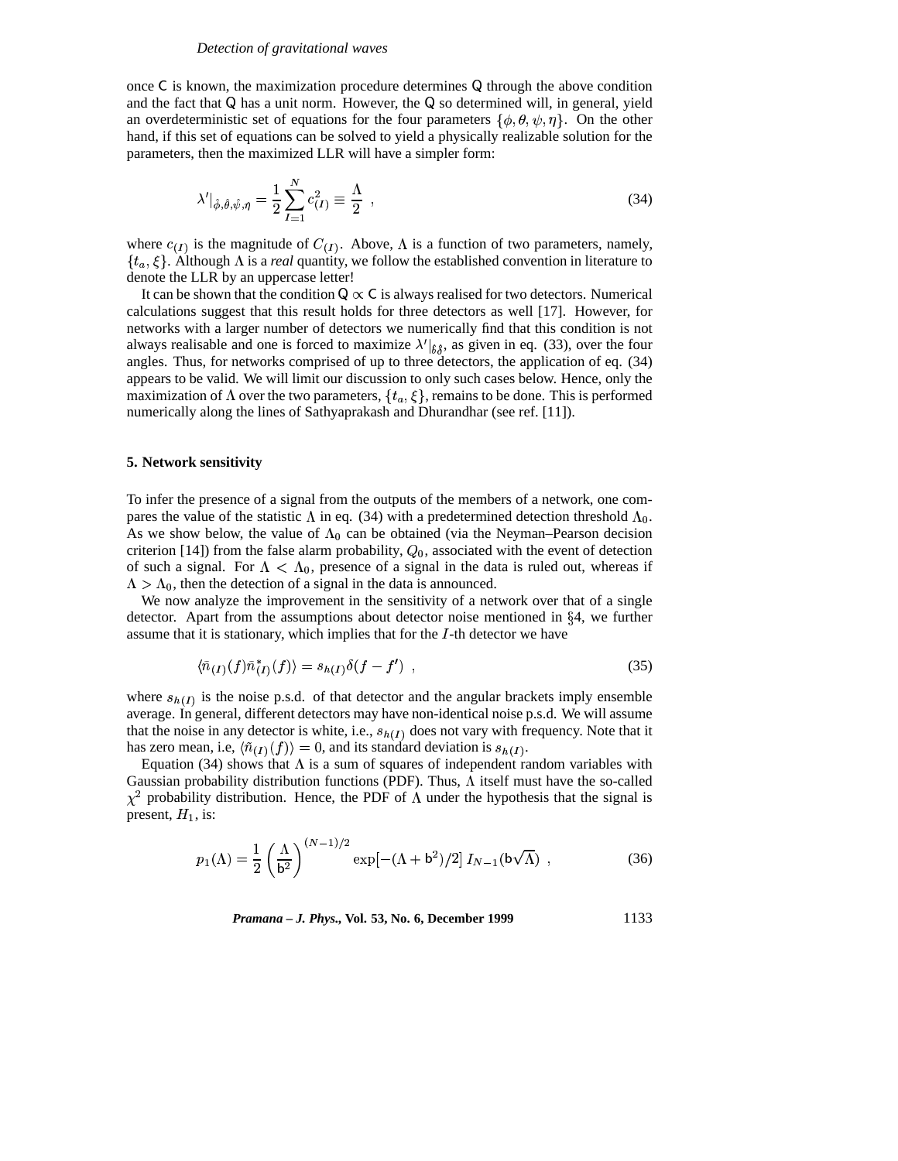once  $\overline{C}$  is known, the maximization procedure determines  $\overline{Q}$  through the above condition and the fact that  $Q$  has a unit norm. However, the  $Q$  so determined will, in general, yield an overdeterministic set of equations for the four parameters  $\{\phi, \theta, \psi, \eta\}$ . On the other hand, if this set of equations can be solved to yield a physically realizable solution for the parameters, then the maximized LLR will have a simpler form:

$$
\lambda'|_{\hat{\phi}, \hat{\theta}, \hat{\psi}, \hat{\eta}} = \frac{1}{2} \sum_{I=1}^{N} c_{(I)}^2 \equiv \frac{\Lambda}{2} \quad , \tag{34}
$$

where  $c_{(I)}$  is the magnitude of  $C_{(I)}$ . Above,  $\Lambda$  is a function of two parameters, namely,  $\{t_{\alpha}, \xi\}$ . Although  $\Lambda$  is a *real* quantity, we follow the established convention in literature to denote the LLR by an uppercase letter!

It can be shown that the condition  $Q \propto C$  is always realised for two detectors. Numerical calculations suggest that this result holds for three detectors as well [17]. However, for networks with a larger number of detectors we numerically find that this condition is not always realisable and one is forced to maximize  $\lambda' \big|_{\hat{b}\hat{\theta}}$ , as given in eq. (33), over the four angles. Thus, for networks comprised of up to three detectors, the application of eq. (34) appears to be valid. We will limit our discussion to only such cases below. Hence, only the maximization of  $\Lambda$  over the two parameters,  $\{t_a,\xi\}$ , remains to be done. This is performed numerically along the lines of Sathyaprakash and Dhurandhar (see ref. [11]).

### **5. Network sensitivity**

To infer the presence of a signal from the outputs of the members of a network, one compares the value of the statistic  $\Lambda$  in eq. (34) with a predetermined detection threshold  $\Lambda_0$ . As we show below, the value of  $\Lambda_0$  can be obtained (via the Neyman–Pearson decision criterion [14]) from the false alarm probability,  $Q_0$ , associated with the event of detection of such a signal. For  $\Lambda < \Lambda_0$ , presence of a signal in the data is ruled out, whereas if  $\Lambda > \Lambda_0$ , then the detection of a signal in the data is announced.

We now analyze the improvement in the sensitivity of a network over that of a single detector. Apart from the assumptions about detector noise mentioned in  $\S 4$ , we further assume that it is stationary, which implies that for the  $I$ -th detector we have

$$
\langle \tilde{n}_{(I)}(f)\tilde{n}_{(I)}^*(f)\rangle = s_{h(I)}\delta(f - f') \quad , \tag{35}
$$

where  $s_{h(I)}$  is the noise p.s.d. of that detector and the angular brackets imply ensemble average. In general, different detectors may have non-identical noise p.s.d. We will assume that the noise in any detector is white, i.e.,  $s_{h(I)}$  does not vary with frequency. Note that it has zero mean, i.e,  $\langle \tilde{n}_{(I)}(f) \rangle = 0$ , and its standard deviation is  $s_{h(I)}$ .<br>Fouation (34) shows that  $\Lambda$  is a sum of squares of independent randor

Equation (34) shows that  $\Lambda$  is a sum of squares of independent random variables with Gaussian probability distribution functions (PDF). Thus,  $\Lambda$  itself must have the so-called  $\chi^2$  probability distribution. Hence, the PDF of  $\Lambda$  under the hypothesis that the signal is present,  $H_1$ , is:

$$
p_1(\Lambda) = \frac{1}{2} \left(\frac{\Lambda}{b^2}\right)^{(N-1)/2} \exp[-(\Lambda + b^2)/2] I_{N-1}(b\sqrt{\Lambda}), \qquad (36)
$$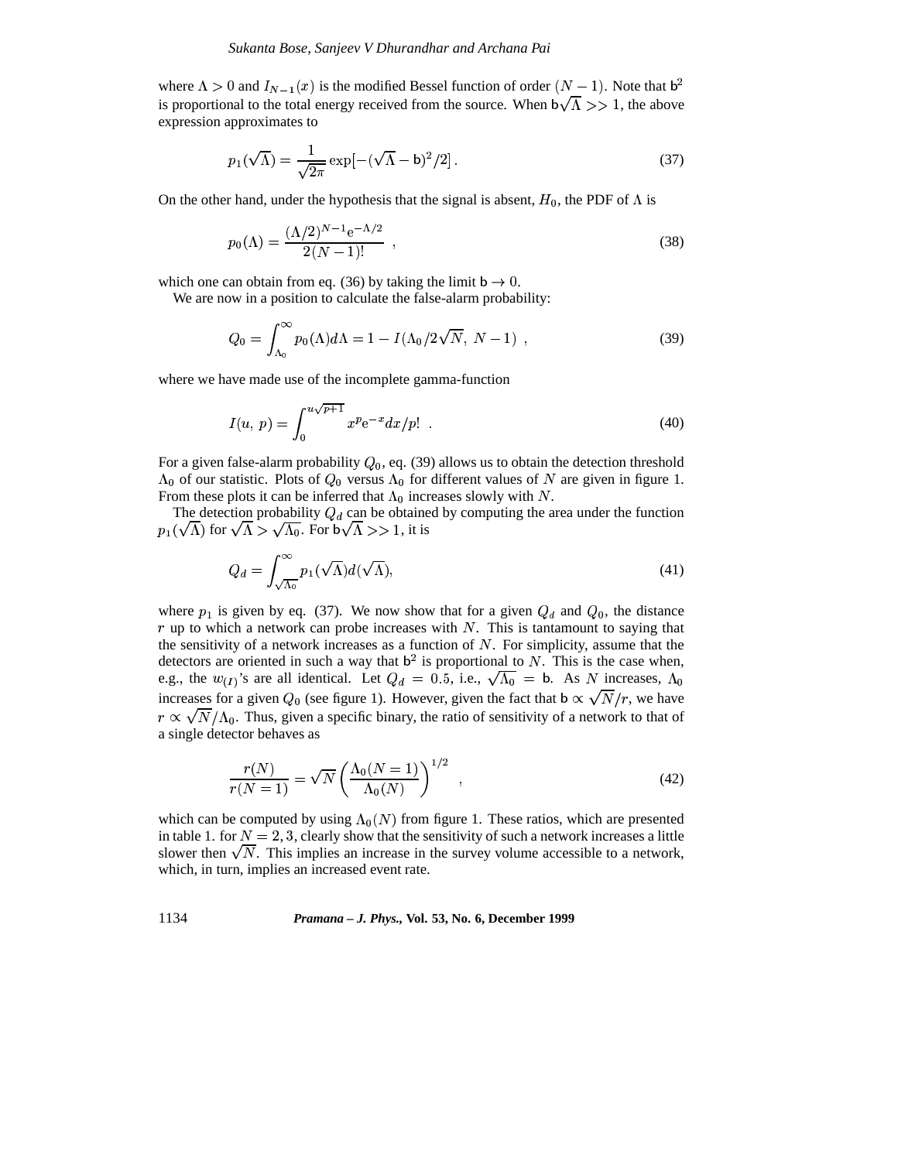where  $\Lambda > 0$  and  $I_{N-1}(x)$  is the modified Bessel function of order  $(N-1)$ . Note that  $\mathfrak{b}^2$ is proportional to the total energy received from the source. When  $b\sqrt{\Lambda} >> 1$ , the above expression approximates to

$$
p_1(\sqrt{\Lambda}) = \frac{1}{\sqrt{2\pi}} \exp[-(\sqrt{\Lambda} - \mathsf{b})^2/2]. \tag{37}
$$

On the other hand, under the hypothesis that the signal is absent,  $H_0$ , the PDF of  $\Lambda$  is

$$
p_0(\Lambda) = \frac{(\Lambda/2)^{N-1} e^{-\Lambda/2}}{2(N-1)!} \tag{38}
$$

which one can obtain from eq. (36) by taking the limit  $b \rightarrow 0$ .

We are now in a position to calculate the false-alarm probability:

$$
Q_0 = \int_{\Lambda_0}^{\infty} p_0(\Lambda) d\Lambda = 1 - I(\Lambda_0/2\sqrt{N}, N - 1) , \qquad (39)
$$

where we have made use of the incomplete gamma-function

$$
I(u, p) = \int_0^{u\sqrt{p+1}} x^p e^{-x} dx/p! \quad . \tag{40}
$$

For a given false-alarm probability  $Q_0$ , eq. (39) allows us to obtain the detection threshold  $\Lambda_0$  of our statistic. Plots of  $Q_0$  versus  $\Lambda_0$  for different values of N are given in figure 1. From these plots it can be inferred that  $\Lambda_0$  increases slowly with N.

The detection probability  $Q_d$  can be obtained by computing the area under the function  $p_1(\sqrt{\Lambda})$  for  $\sqrt{\Lambda} > \sqrt{\Lambda_0}$ . For  $b\sqrt{\Lambda} >> 1$ , it is

$$
Q_d = \int_{\sqrt{\Lambda_0}}^{\infty} p_1(\sqrt{\Lambda}) d(\sqrt{\Lambda}), \qquad (41)
$$

where  $p_1$  is given by eq. (37). We now show that for a given  $Q_d$  and  $Q_0$ , the distance r up to which a network can probe increases with  $N$ . This is tantamount to saying that the sensitivity of a network increases as a function of  $N$ . For simplicity, assume that the detectors are oriented in such a way that  $b^2$  is proportional to N. This is the case when, e.g., the  $w_{(I)}$ 's are all identical. Let  $Q_d = 0.5$ , i.e.,  $\sqrt{\Lambda_0} = b$ . As N increases,  $\Lambda_0$ increases for a given  $Q_0$  (see figure 1). However, given the fact that  $\mathfrak{b} \propto \sqrt{N}/r$ , we have  $r \propto \sqrt{N/\Lambda_0}$ . Thus, given a specific binary, the ratio of sensitivity of a network to that of a single detector behaves as

$$
\frac{r(N)}{r(N=1)} = \sqrt{N} \left( \frac{\Lambda_0(N=1)}{\Lambda_0(N)} \right)^{1/2} , \qquad (42)
$$

which can be computed by using  $\Lambda_0(N)$  from figure 1. These ratios, which are presented in table 1. for  $N = 2, 3$ , clearly show that the sensitivity of such a network increases a little slower then  $\sqrt{N}$ . This implies an increase in the survey volume accessible to a network, which, in turn, implies an increased event rate.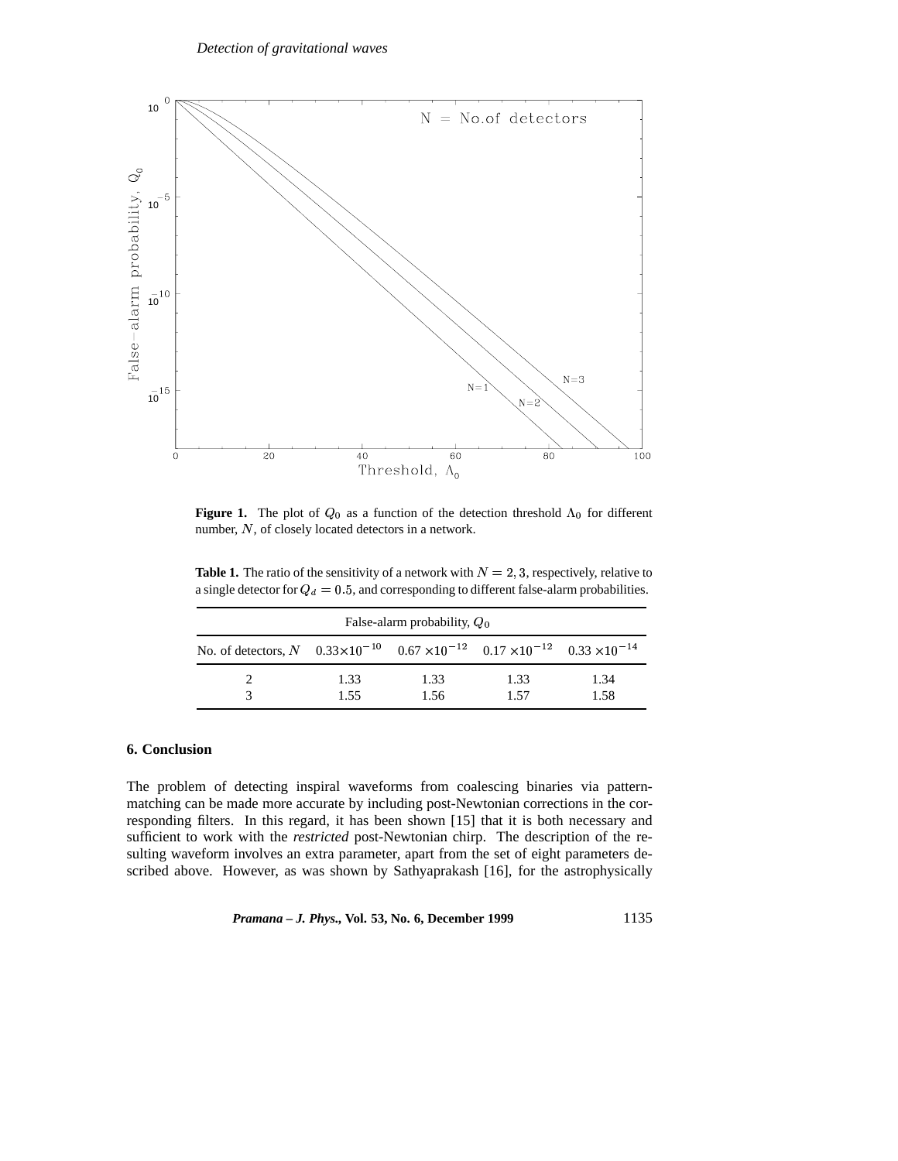

**Figure 1.** The plot of  $Q_0$  as a function of the detection threshold  $\Lambda_0$  for different number,  $N$ , of closely located detectors in a network.

**Table 1.** The ratio of the sensitivity of a network with  $N = 2, 3$ , respectively, relative to a single detector for  $Q_d = 0.5$ , and corresponding to different false-alarm probabilities.

| False-alarm probability, $Q_0$                                                                                    |      |      |      |      |
|-------------------------------------------------------------------------------------------------------------------|------|------|------|------|
| No. of detectors, $N = 0.33 \times 10^{-10} = 0.67 \times 10^{-12} = 0.17 \times 10^{-12} = 0.33 \times 10^{-14}$ |      |      |      |      |
|                                                                                                                   | 1.33 | 1.33 | 1.33 | 1.34 |
|                                                                                                                   | 1.55 | 1.56 | 1.57 | 1.58 |

#### **6. Conclusion**

The problem of detecting inspiral waveforms from coalescing binaries via patternmatching can be made more accurate by including post-Newtonian corrections in the corresponding filters. In this regard, it has been shown [15] that it is both necessary and sufficient to work with the *restricted* post-Newtonian chirp. The description of the resulting waveform involves an extra parameter, apart from the set of eight parameters described above. However, as was shown by Sathyaprakash [16], for the astrophysically